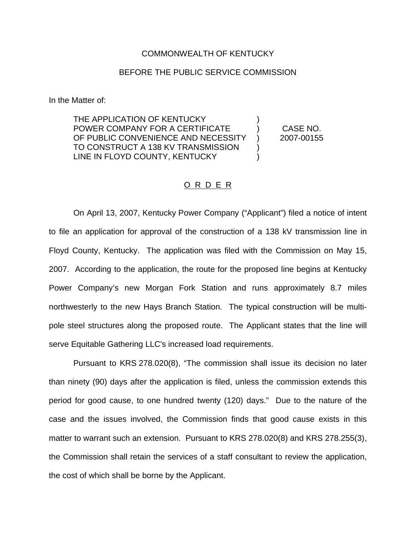#### COMMONWEALTH OF KENTUCKY

### BEFORE THE PUBLIC SERVICE COMMISSION

In the Matter of:

THE APPLICATION OF KENTUCKY POWER COMPANY FOR A CERTIFICATE ) CASE NO. OF PUBLIC CONVENIENCE AND NECESSITY ) 2007-00155 TO CONSTRUCT A 138 KV TRANSMISSION LINE IN FLOYD COUNTY, KENTUCKY

#### O R D E R

On April 13, 2007, Kentucky Power Company ("Applicant") filed a notice of intent to file an application for approval of the construction of a 138 kV transmission line in Floyd County, Kentucky. The application was filed with the Commission on May 15, 2007. According to the application, the route for the proposed line begins at Kentucky Power Company's new Morgan Fork Station and runs approximately 8.7 miles northwesterly to the new Hays Branch Station. The typical construction will be multipole steel structures along the proposed route. The Applicant states that the line will serve Equitable Gathering LLC's increased load requirements.

Pursuant to KRS 278.020(8), "The commission shall issue its decision no later than ninety (90) days after the application is filed, unless the commission extends this period for good cause, to one hundred twenty (120) days." Due to the nature of the case and the issues involved, the Commission finds that good cause exists in this matter to warrant such an extension. Pursuant to KRS 278.020(8) and KRS 278.255(3), the Commission shall retain the services of a staff consultant to review the application, the cost of which shall be borne by the Applicant.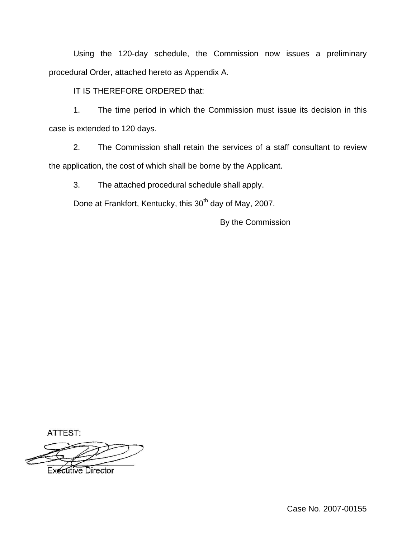Using the 120-day schedule, the Commission now issues a preliminary procedural Order, attached hereto as Appendix A.

IT IS THEREFORE ORDERED that:

1. The time period in which the Commission must issue its decision in this case is extended to 120 days.

2. The Commission shall retain the services of a staff consultant to review the application, the cost of which shall be borne by the Applicant.

3. The attached procedural schedule shall apply.

Done at Frankfort, Kentucky, this 30<sup>th</sup> day of May, 2007.

By the Commission

ATTEST:

**Executive Director**